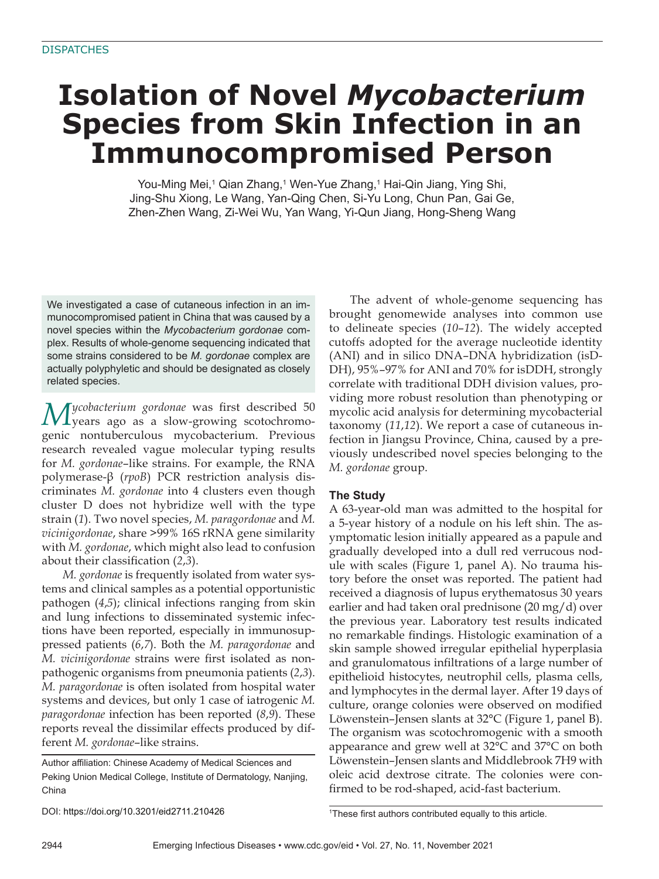# **Isolation of Novel** *Mycobacterium*  **Species from Skin Infection in an Immunocompromised Person**

You-Ming Mei,1 Qian Zhang,1 Wen-Yue Zhang,1 Hai-Qin Jiang, Ying Shi, Jing-Shu Xiong, Le Wang, Yan-Qing Chen, Si-Yu Long, Chun Pan, Gai Ge, Zhen-Zhen Wang, Zi-Wei Wu, Yan Wang, Yi-Qun Jiang, Hong-Sheng Wang

We investigated a case of cutaneous infection in an immunocompromised patient in China that was caused by a novel species within the *Mycobacterium gordonae* complex. Results of whole-genome sequencing indicated that some strains considered to be *M. gordonae* complex are actually polyphyletic and should be designated as closely related species.

*Mycobacterium gordonae* was first described 50 years ago as a slow-growing scotochromogenic nontuberculous mycobacterium. Previous research revealed vague molecular typing results for *M. gordonae*–like strains. For example, the RNA polymerase-β (*rpoB*) PCR restriction analysis discriminates *M. gordonae* into 4 clusters even though cluster D does not hybridize well with the type strain (*1*). Two novel species, *M. paragordonae* and *M. vicinigordonae*, share >99% 16S rRNA gene similarity with *M. gordonae*, which might also lead to confusion about their classification (2,3).

*M. gordonae* is frequently isolated from water systems and clinical samples as a potential opportunistic pathogen (*4*,*5*); clinical infections ranging from skin and lung infections to disseminated systemic infections have been reported, especially in immunosuppressed patients (*6*,*7*). Both the *M. paragordonae* and *M. vicinigordonae* strains were first isolated as nonpathogenic organisms from pneumonia patients (*2*,*3*). *M. paragordonae* is often isolated from hospital water systems and devices, but only 1 case of iatrogenic *M. paragordonae* infection has been reported (*8*,*9*). These reports reveal the dissimilar effects produced by different *M. gordonae*–like strains.

Author affiliation: Chinese Academy of Medical Sciences and Peking Union Medical College, Institute of Dermatology, Nanjing, China

DOI: https://doi.org/10.3201/eid2711.210426 <sup>1</sup>

The advent of whole-genome sequencing has brought genomewide analyses into common use to delineate species (*10*–*12*). The widely accepted cutoffs adopted for the average nucleotide identity (ANI) and in silico DNA–DNA hybridization (isD-DH), 95%–97% for ANI and 70% for isDDH, strongly correlate with traditional DDH division values, providing more robust resolution than phenotyping or mycolic acid analysis for determining mycobacterial taxonomy (*11*,*12*). We report a case of cutaneous infection in Jiangsu Province, China, caused by a previously undescribed novel species belonging to the *M. gordonae* group.

# **The Study**

A 63-year-old man was admitted to the hospital for a 5-year history of a nodule on his left shin. The asymptomatic lesion initially appeared as a papule and gradually developed into a dull red verrucous nodule with scales (Figure 1, panel A). No trauma history before the onset was reported. The patient had received a diagnosis of lupus erythematosus 30 years earlier and had taken oral prednisone (20 mg/d) over the previous year. Laboratory test results indicated no remarkable findings. Histologic examination of a skin sample showed irregular epithelial hyperplasia and granulomatous infiltrations of a large number of epithelioid histocytes, neutrophil cells, plasma cells, and lymphocytes in the dermal layer. After 19 days of culture, orange colonies were observed on modified Löwenstein–Jensen slants at 32°C (Figure 1, panel B). The organism was scotochromogenic with a smooth appearance and grew well at 32°C and 37°C on both Löwenstein–Jensen slants and Middlebrook 7H9 with oleic acid dextrose citrate. The colonies were confirmed to be rod-shaped, acid-fast bacterium.

<sup>&</sup>lt;sup>1</sup>These first authors contributed equally to this article.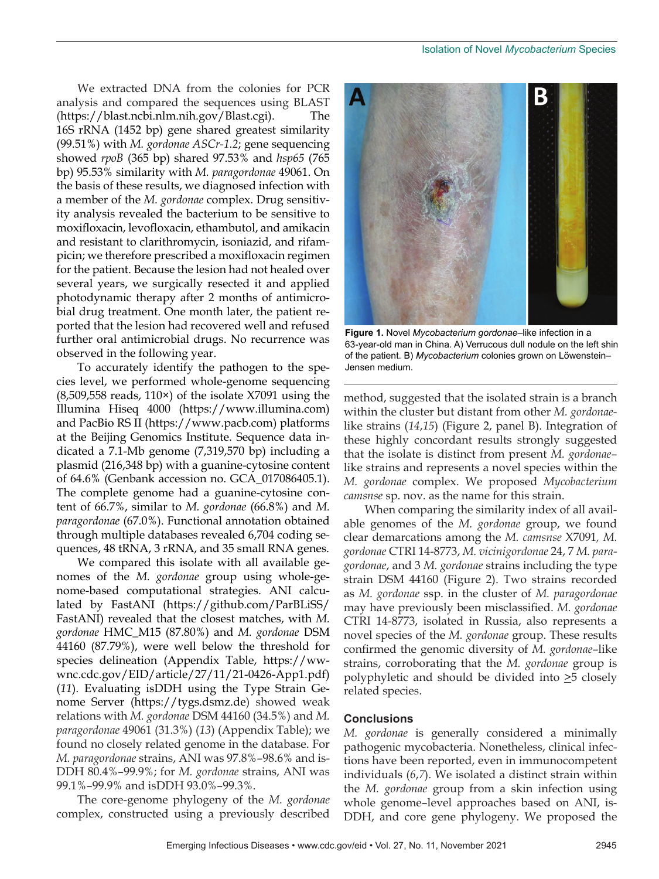We extracted DNA from the colonies for PCR analysis and compared the sequences using BLAST (https://blast.ncbi.nlm.nih.gov/Blast.cgi). The 16S rRNA (1452 bp) gene shared greatest similarity (99.51%) with *M. gordonae ASCr-1.2*; gene sequencing showed *rpoB* (365 bp) shared 97.53% and *hsp65* (765 bp) 95.53% similarity with *M. paragordonae* 49061. On the basis of these results, we diagnosed infection with a member of the *M. gordonae* complex. Drug sensitivity analysis revealed the bacterium to be sensitive to moxifloxacin, levofloxacin, ethambutol, and amikacin and resistant to clarithromycin, isoniazid, and rifampicin; we therefore prescribed a moxifloxacin regimen for the patient. Because the lesion had not healed over several years, we surgically resected it and applied photodynamic therapy after 2 months of antimicrobial drug treatment. One month later, the patient reported that the lesion had recovered well and refused further oral antimicrobial drugs. No recurrence was observed in the following year.

To accurately identify the pathogen to the species level, we performed whole-genome sequencing (8,509,558 reads, 110×) of the isolate X7091 using the Illumina Hiseq 4000 (https://www.illumina.com) and PacBio RS II (https://www.pacb.com) platforms at the Beijing Genomics Institute. Sequence data indicated a 7.1-Mb genome (7,319,570 bp) including a plasmid (216,348 bp) with a guanine-cytosine content of 64.6% (Genbank accession no. GCA\_017086405.1). The complete genome had a guanine-cytosine content of 66.7%, similar to *M. gordonae* (66.8%) and *M. paragordonae* (67.0%). Functional annotation obtained through multiple databases revealed 6,704 coding sequences, 48 tRNA, 3 rRNA, and 35 small RNA genes.

We compared this isolate with all available genomes of the *M. gordonae* group using whole-genome-based computational strategies. ANI calculated by FastANI (https://github.com/ParBLiSS/ FastANI) revealed that the closest matches, with *M. gordonae* HMC\_M15 (87.80%) and *M. gordonae* DSM 44160 (87.79%), were well below the threshold for species delineation (Appendix Table, https://wwwnc.cdc.gov/EID/article/27/11/21-0426-App1.pdf) (*11*). Evaluating isDDH using the Type Strain Genome Server (https://tygs.dsmz.de) showed weak relations with *M. gordonae* DSM 44160 (34.5%) and *M. paragordonae* 49061 (31.3%) (*13*) (Appendix Table); we found no closely related genome in the database. For *M. paragordonae* strains, ANI was 97.8%–98.6% and is-DDH 80.4%–99.9%; for *M. gordonae* strains, ANI was 99.1%–99.9% and isDDH 93.0%–99.3%.

The core-genome phylogeny of the *M. gordonae* complex, constructed using a previously described



**Figure 1.** Novel *Mycobacterium gordonae*–like infection in a 63-year-old man in China. A) Verrucous dull nodule on the left shin of the patient. B) *Mycobacterium* colonies grown on Löwenstein– Jensen medium.

method, suggested that the isolated strain is a branch within the cluster but distant from other *M. gordonae*like strains (*14*,*15*) (Figure 2, panel B). Integration of these highly concordant results strongly suggested that the isolate is distinct from present *M. gordonae*– like strains and represents a novel species within the *M. gordonae* complex. We proposed *Mycobacterium camsnse* sp. nov*.* as the name for this strain.

When comparing the similarity index of all available genomes of the *M. gordonae* group, we found clear demarcations among the *M. camsnse* X7091*, M. gordonae* CTRI 14-8773, *M. vicinigordonae* 24, 7 *M. paragordonae*, and 3 *M. gordonae* strains including the type strain DSM 44160 (Figure 2). Two strains recorded as *M. gordonae* ssp. in the cluster of *M. paragordonae* may have previously been misclassified. *M. gordonae* CTRI 14-8773, isolated in Russia, also represents a novel species of the *M. gordonae* group. These results confirmed the genomic diversity of *M. gordonae*–like strains, corroborating that the *M. gordonae* group is polyphyletic and should be divided into  $\geq$ 5 closely related species.

# **Conclusions**

*M. gordonae* is generally considered a minimally pathogenic mycobacteria. Nonetheless, clinical infections have been reported, even in immunocompetent individuals (*6*,*7*). We isolated a distinct strain within the *M. gordonae* group from a skin infection using whole genome–level approaches based on ANI, is-DDH, and core gene phylogeny. We proposed the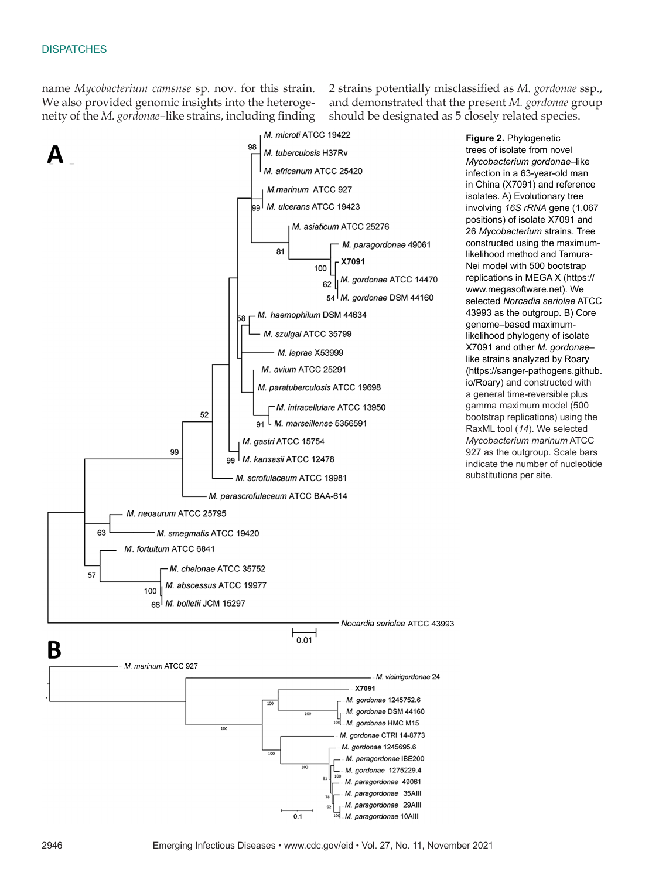name *Mycobacterium camsnse* sp. nov. for this strain. We also provided genomic insights into the heterogeneity of the *M. gordonae–*like strains, including finding

2 strains potentially misclassified as *M. gordonae* ssp., and demonstrated that the present *M. gordonae* group should be designated as 5 closely related species.



**Figure 2.** Phylogenetic trees of isolate from novel *Mycobacterium gordonae*–like infection in a 63-year-old man in China (X7091) and reference isolates. A) Evolutionary tree involving *16S rRNA* gene (1,067 positions) of isolate X7091 and 26 *Mycobacterium* strains. Tree constructed using the maximumlikelihood method and Tamura-Nei model with 500 bootstrap replications in MEGA X (https:// www.megasoftware.net). We selected *Norcadia seriolae* ATCC 43993 as the outgroup. B) Core genome–based maximumlikelihood phylogeny of isolate X7091 and other *M. gordonae*– like strains analyzed by Roary (https://sanger-pathogens.github. io/Roary) and constructed with a general time-reversible plus gamma maximum model (500 bootstrap replications) using the RaxML tool (*14*). We selected *Mycobacterium marinum* ATCC 927 as the outgroup. Scale bars indicate the number of nucleotide substitutions per site.